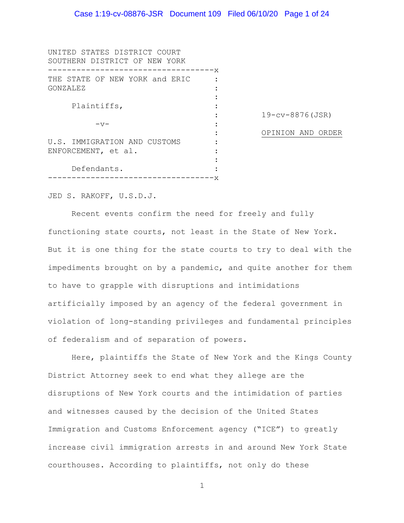| UNITED STATES DISTRICT COURT<br>SOUTHERN DISTRICT OF NEW YORK |        |                       |
|---------------------------------------------------------------|--------|-----------------------|
|                                                               | -----x |                       |
| THE STATE OF NEW YORK and ERIC                                |        |                       |
| GONZALEZ                                                      |        |                       |
|                                                               |        |                       |
| Plaintiffs,                                                   |        |                       |
|                                                               |        | $19 - cv - 8876(JSR)$ |
| $-\nabla$                                                     |        |                       |
|                                                               |        | OPINION AND ORDER     |
| U.S. IMMIGRATION AND CUSTOMS                                  |        |                       |
| ENFORCEMENT, et al.                                           |        |                       |
|                                                               |        |                       |
| Defendants.                                                   |        |                       |
|                                                               | X      |                       |

JED S. RAKOFF, U.S.D.J.

Recent events confirm the need for freely and fully functioning state courts, not least in the State of New York. But it is one thing for the state courts to try to deal with the impediments brought on by a pandemic, and quite another for them to have to grapple with disruptions and intimidations artificially imposed by an agency of the federal government in violation of long-standing privileges and fundamental principles of federalism and of separation of powers.

Here, plaintiffs the State of New York and the Kings County District Attorney seek to end what they allege are the disruptions of New York courts and the intimidation of parties and witnesses caused by the decision of the United States Immigration and Customs Enforcement agency ("ICE") to greatly increase civil immigration arrests in and around New York State courthouses. According to plaintiffs, not only do these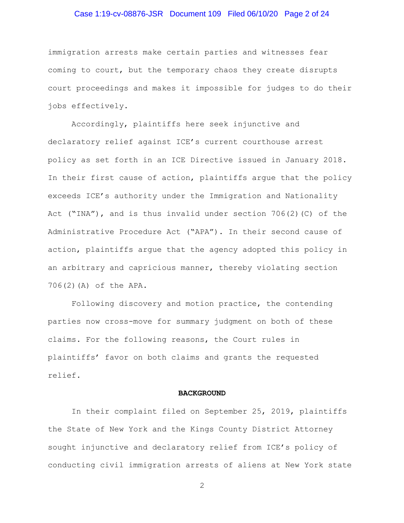### Case 1:19-cv-08876-JSR Document 109 Filed 06/10/20 Page 2 of 24

immigration arrests make certain parties and witnesses fear coming to court, but the temporary chaos they create disrupts court proceedings and makes it impossible for judges to do their jobs effectively.

Accordingly, plaintiffs here seek injunctive and declaratory relief against ICE's current courthouse arrest policy as set forth in an ICE Directive issued in January 2018. In their first cause of action, plaintiffs argue that the policy exceeds ICE's authority under the Immigration and Nationality Act ("INA"), and is thus invalid under section  $706(2)(C)$  of the Administrative Procedure Act ("APA"). In their second cause of action, plaintiffs argue that the agency adopted this policy in an arbitrary and capricious manner, thereby violating section 706(2)(A) of the APA.

Following discovery and motion practice, the contending parties now cross-move for summary judgment on both of these claims. For the following reasons, the Court rules in plaintiffs' favor on both claims and grants the requested relief.

#### **BACKGROUND**

In their complaint filed on September 25, 2019, plaintiffs the State of New York and the Kings County District Attorney sought injunctive and declaratory relief from ICE's policy of conducting civil immigration arrests of aliens at New York state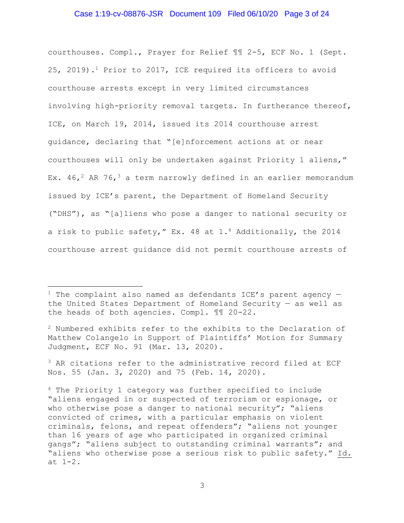### Case 1:19-cv-08876-JSR Document 109 Filed 06/10/20 Page 3 of 24

courthouses. Compl., Prayer for Relief ¶¶ 2-5, ECF No. 1 (Sept. 25, 2019).1 Prior to 2017, ICE required its officers to avoid courthouse arrests except in very limited circumstances involving high-priority removal targets. In furtherance thereof, ICE, on March 19, 2014, issued its 2014 courthouse arrest guidance, declaring that "[e]nforcement actions at or near courthouses will only be undertaken against Priority 1 aliens," Ex.  $46,^2$  AR  $76,^3$  a term narrowly defined in an earlier memorandum issued by ICE's parent, the Department of Homeland Security ("DHS"), as "[a]liens who pose a danger to national security or a risk to public safety," Ex. 48 at 1.4 Additionally, the 2014 courthouse arrest guidance did not permit courthouse arrests of

 $2$  Numbered exhibits refer to the exhibits to the Declaration of Matthew Colangelo in Support of Plaintiffs' Motion for Summary Judgment, ECF No. 91 (Mar. 13, 2020).

<sup>3</sup> AR citations refer to the administrative record filed at ECF Nos. 55 (Jan. 3, 2020) and 75 (Feb. 14, 2020).

<sup>&</sup>lt;sup>1</sup> The complaint also named as defendants ICE's parent agency  $$ the United States Department of Homeland Security — as well as the heads of both agencies. Compl. ¶¶ 20-22.

<sup>4</sup> The Priority 1 category was further specified to include "aliens engaged in or suspected of terrorism or espionage, or who otherwise pose a danger to national security"; "aliens" convicted of crimes, with a particular emphasis on violent criminals, felons, and repeat offenders"; "aliens not younger than 16 years of age who participated in organized criminal gangs"; "aliens subject to outstanding criminal warrants"; and "aliens who otherwise pose a serious risk to public safety." Id. at 1-2.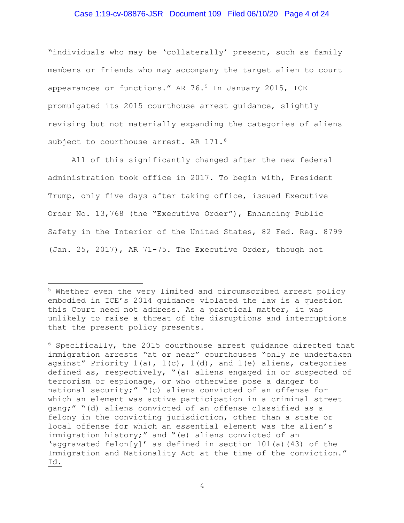### Case 1:19-cv-08876-JSR Document 109 Filed 06/10/20 Page 4 of 24

"individuals who may be 'collaterally' present, such as family members or friends who may accompany the target alien to court appearances or functions." AR 76.5 In January 2015, ICE promulgated its 2015 courthouse arrest guidance, slightly revising but not materially expanding the categories of aliens subject to courthouse arrest. AR 171.<sup>6</sup>

All of this significantly changed after the new federal administration took office in 2017. To begin with, President Trump, only five days after taking office, issued Executive Order No. 13,768 (the "Executive Order"), Enhancing Public Safety in the Interior of the United States, 82 Fed. Reg. 8799 (Jan. 25, 2017), AR 71-75. The Executive Order, though not

<sup>6</sup> Specifically, the 2015 courthouse arrest guidance directed that immigration arrests "at or near" courthouses "only be undertaken against" Priority  $1(a)$ ,  $1(c)$ ,  $1(d)$ , and  $1(e)$  aliens, categories defined as, respectively, "(a) aliens engaged in or suspected of terrorism or espionage, or who otherwise pose a danger to national security;" "(c) aliens convicted of an offense for which an element was active participation in a criminal street gang;" "(d) aliens convicted of an offense classified as a felony in the convicting jurisdiction, other than a state or local offense for which an essential element was the alien's immigration history;" and "(e) aliens convicted of an 'aggravated felon[y]' as defined in section 101(a)(43) of the Immigration and Nationality Act at the time of the conviction." Id.

<sup>5</sup> Whether even the very limited and circumscribed arrest policy embodied in ICE's 2014 guidance violated the law is a question this Court need not address. As a practical matter, it was unlikely to raise a threat of the disruptions and interruptions that the present policy presents.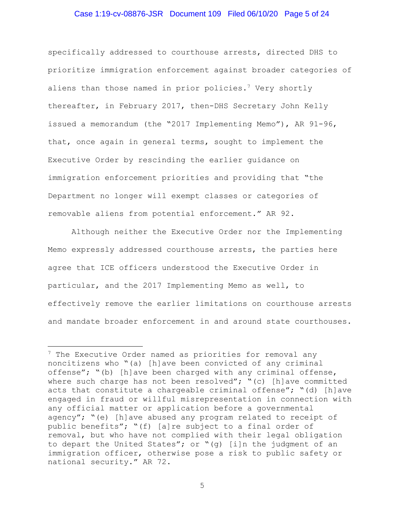### Case 1:19-cv-08876-JSR Document 109 Filed 06/10/20 Page 5 of 24

specifically addressed to courthouse arrests, directed DHS to prioritize immigration enforcement against broader categories of aliens than those named in prior policies.<sup>7</sup> Very shortly thereafter, in February 2017, then-DHS Secretary John Kelly issued a memorandum (the "2017 Implementing Memo"), AR 91-96, that, once again in general terms, sought to implement the Executive Order by rescinding the earlier guidance on immigration enforcement priorities and providing that "the Department no longer will exempt classes or categories of removable aliens from potential enforcement." AR 92.

Although neither the Executive Order nor the Implementing Memo expressly addressed courthouse arrests, the parties here agree that ICE officers understood the Executive Order in particular, and the 2017 Implementing Memo as well, to effectively remove the earlier limitations on courthouse arrests and mandate broader enforcement in and around state courthouses.

 $7$  The Executive Order named as priorities for removal any noncitizens who "(a) [h]ave been convicted of any criminal offense"; "(b) [h]ave been charged with any criminal offense, where such charge has not been resolved"; "(c) [h]ave committed acts that constitute a chargeable criminal offense"; "(d) [h]ave engaged in fraud or willful misrepresentation in connection with any official matter or application before a governmental agency"; "(e) [h]ave abused any program related to receipt of public benefits"; "(f) [a]re subject to a final order of removal, but who have not complied with their legal obligation to depart the United States"; or "(g) [i]n the judgment of an immigration officer, otherwise pose a risk to public safety or national security." AR 72.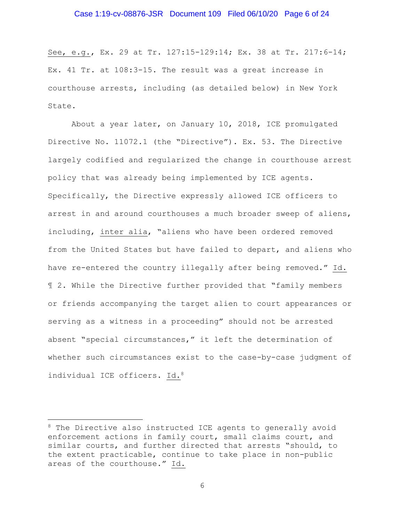#### Case 1:19-cv-08876-JSR Document 109 Filed 06/10/20 Page 6 of 24

See, e.g., Ex. 29 at Tr. 127:15-129:14; Ex. 38 at Tr. 217:6-14; Ex. 41 Tr. at 108:3-15. The result was a great increase in courthouse arrests, including (as detailed below) in New York State.

About a year later, on January 10, 2018, ICE promulgated Directive No. 11072.1 (the "Directive"). Ex. 53. The Directive largely codified and regularized the change in courthouse arrest policy that was already being implemented by ICE agents. Specifically, the Directive expressly allowed ICE officers to arrest in and around courthouses a much broader sweep of aliens, including, inter alia, "aliens who have been ordered removed from the United States but have failed to depart, and aliens who have re-entered the country illegally after being removed." Id. ¶ 2. While the Directive further provided that "family members or friends accompanying the target alien to court appearances or serving as a witness in a proceeding" should not be arrested absent "special circumstances," it left the determination of whether such circumstances exist to the case-by-case judgment of individual ICE officers. Id.<sup>8</sup>

<sup>&</sup>lt;sup>8</sup> The Directive also instructed ICE agents to generally avoid enforcement actions in family court, small claims court, and similar courts, and further directed that arrests "should, to the extent practicable, continue to take place in non-public areas of the courthouse." Id.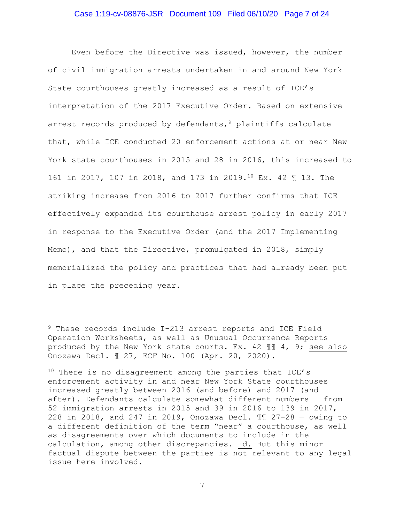### Case 1:19-cv-08876-JSR Document 109 Filed 06/10/20 Page 7 of 24

Even before the Directive was issued, however, the number of civil immigration arrests undertaken in and around New York State courthouses greatly increased as a result of ICE's interpretation of the 2017 Executive Order. Based on extensive arrest records produced by defendants,  $9$  plaintiffs calculate that, while ICE conducted 20 enforcement actions at or near New York state courthouses in 2015 and 28 in 2016, this increased to 161 in 2017, 107 in 2018, and 173 in 2019.10 Ex. 42 ¶ 13. The striking increase from 2016 to 2017 further confirms that ICE effectively expanded its courthouse arrest policy in early 2017 in response to the Executive Order (and the 2017 Implementing Memo), and that the Directive, promulgated in 2018, simply memorialized the policy and practices that had already been put in place the preceding year.

<sup>&</sup>lt;sup>9</sup> These records include I-213 arrest reports and ICE Field Operation Worksheets, as well as Unusual Occurrence Reports produced by the New York state courts. Ex. 42 ¶¶ 4, 9; see also Onozawa Decl. ¶ 27, ECF No. 100 (Apr. 20, 2020).

 $10$  There is no disagreement among the parties that ICE's enforcement activity in and near New York State courthouses increased greatly between 2016 (and before) and 2017 (and after). Defendants calculate somewhat different numbers — from 52 immigration arrests in 2015 and 39 in 2016 to 139 in 2017, 228 in 2018, and 247 in 2019, Onozawa Decl. ¶¶ 27-28 — owing to a different definition of the term "near" a courthouse, as well as disagreements over which documents to include in the calculation, among other discrepancies. Id. But this minor factual dispute between the parties is not relevant to any legal issue here involved.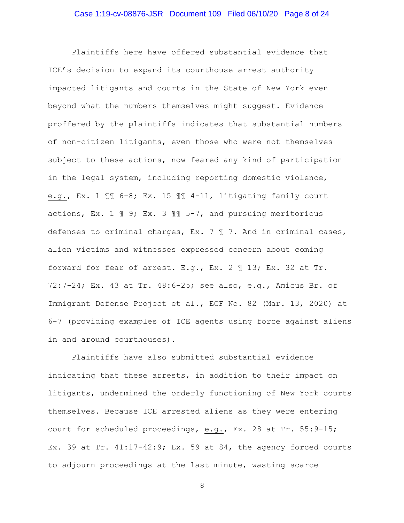Plaintiffs here have offered substantial evidence that ICE's decision to expand its courthouse arrest authority impacted litigants and courts in the State of New York even beyond what the numbers themselves might suggest. Evidence proffered by the plaintiffs indicates that substantial numbers of non-citizen litigants, even those who were not themselves subject to these actions, now feared any kind of participation in the legal system, including reporting domestic violence, e.g., Ex. 1 ¶¶ 6-8; Ex. 15 ¶¶ 4-11, litigating family court actions, Ex. 1  $\mathbb{I}$  9; Ex. 3  $\mathbb{I}$  5-7, and pursuing meritorious defenses to criminal charges, Ex. 7 ¶ 7. And in criminal cases, alien victims and witnesses expressed concern about coming forward for fear of arrest. E.g., Ex. 2 ¶ 13; Ex. 32 at Tr. 72:7-24; Ex. 43 at Tr. 48:6-25; see also, e.g., Amicus Br. of Immigrant Defense Project et al., ECF No. 82 (Mar. 13, 2020) at 6-7 (providing examples of ICE agents using force against aliens in and around courthouses).

Plaintiffs have also submitted substantial evidence indicating that these arrests, in addition to their impact on litigants, undermined the orderly functioning of New York courts themselves. Because ICE arrested aliens as they were entering court for scheduled proceedings, e.g., Ex. 28 at Tr. 55:9-15; Ex. 39 at Tr.  $41:17-42:9$ ; Ex. 59 at 84, the agency forced courts to adjourn proceedings at the last minute, wasting scarce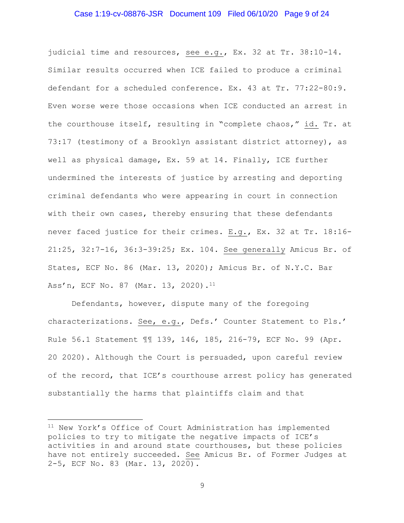### Case 1:19-cv-08876-JSR Document 109 Filed 06/10/20 Page 9 of 24

judicial time and resources, see e.g., Ex. 32 at Tr. 38:10-14. Similar results occurred when ICE failed to produce a criminal defendant for a scheduled conference. Ex. 43 at Tr. 77:22-80:9. Even worse were those occasions when ICE conducted an arrest in the courthouse itself, resulting in "complete chaos," id. Tr. at 73:17 (testimony of a Brooklyn assistant district attorney), as well as physical damage, Ex. 59 at 14. Finally, ICE further undermined the interests of justice by arresting and deporting criminal defendants who were appearing in court in connection with their own cases, thereby ensuring that these defendants never faced justice for their crimes. E.g., Ex. 32 at Tr. 18:16- 21:25, 32:7-16, 36:3-39:25; Ex. 104. See generally Amicus Br. of States, ECF No. 86 (Mar. 13, 2020); Amicus Br. of N.Y.C. Bar Ass'n, ECF No. 87 (Mar. 13, 2020).<sup>11</sup>

Defendants, however, dispute many of the foregoing characterizations. See, e.g., Defs.' Counter Statement to Pls.' Rule 56.1 Statement ¶¶ 139, 146, 185, 216-79, ECF No. 99 (Apr. 20 2020). Although the Court is persuaded, upon careful review of the record, that ICE's courthouse arrest policy has generated substantially the harms that plaintiffs claim and that

<sup>&</sup>lt;sup>11</sup> New York's Office of Court Administration has implemented policies to try to mitigate the negative impacts of ICE's activities in and around state courthouses, but these policies have not entirely succeeded. See Amicus Br. of Former Judges at 2-5, ECF No. 83 (Mar. 13, 2020).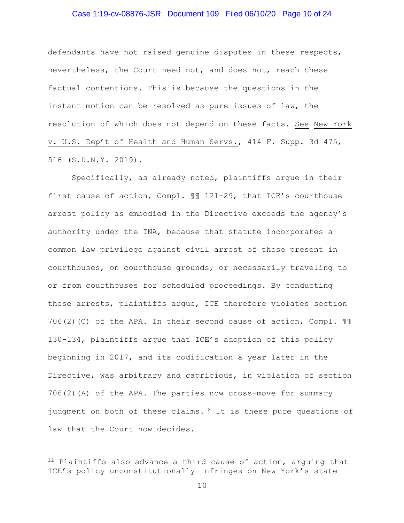### Case 1:19-cv-08876-JSR Document 109 Filed 06/10/20 Page 10 of 24

defendants have not raised genuine disputes in these respects, nevertheless, the Court need not, and does not, reach these factual contentions. This is because the questions in the instant motion can be resolved as pure issues of law, the resolution of which does not depend on these facts. See New York v. U.S. Dep't of Health and Human Servs., 414 F. Supp. 3d 475, 516 (S.D.N.Y. 2019).

Specifically, as already noted, plaintiffs argue in their first cause of action, Compl. ¶¶ 121-29, that ICE's courthouse arrest policy as embodied in the Directive exceeds the agency's authority under the INA, because that statute incorporates a common law privilege against civil arrest of those present in courthouses, on courthouse grounds, or necessarily traveling to or from courthouses for scheduled proceedings. By conducting these arrests, plaintiffs argue, ICE therefore violates section 706(2)(C) of the APA. In their second cause of action, Compl.  $\mathbb{I}\mathbb{I}$ 130-134, plaintiffs argue that ICE's adoption of this policy beginning in 2017, and its codification a year later in the Directive, was arbitrary and capricious, in violation of section 706(2)(A) of the APA. The parties now cross-move for summary judgment on both of these claims.<sup>12</sup> It is these pure questions of law that the Court now decides.

 $12$  Plaintiffs also advance a third cause of action, arguing that ICE's policy unconstitutionally infringes on New York's state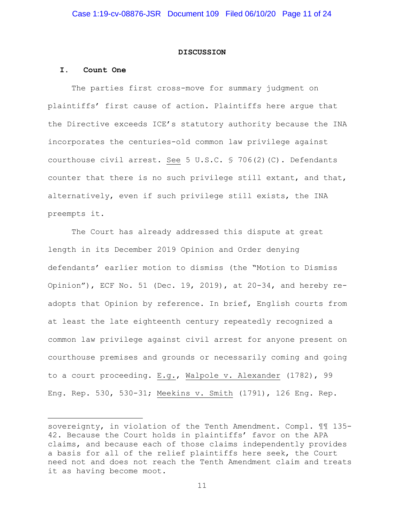#### **DISCUSSION**

## **I. Count One**

The parties first cross-move for summary judgment on plaintiffs' first cause of action. Plaintiffs here argue that the Directive exceeds ICE's statutory authority because the INA incorporates the centuries-old common law privilege against courthouse civil arrest. See 5 U.S.C. § 706(2)(C). Defendants counter that there is no such privilege still extant, and that, alternatively, even if such privilege still exists, the INA preempts it.

The Court has already addressed this dispute at great length in its December 2019 Opinion and Order denying defendants' earlier motion to dismiss (the "Motion to Dismiss Opinion"), ECF No. 51 (Dec. 19, 2019), at 20-34, and hereby readopts that Opinion by reference. In brief, English courts from at least the late eighteenth century repeatedly recognized a common law privilege against civil arrest for anyone present on courthouse premises and grounds or necessarily coming and going to a court proceeding. E.g., Walpole v. Alexander (1782), 99 Eng. Rep. 530, 530-31; Meekins v. Smith (1791), 126 Eng. Rep.

sovereignty, in violation of the Tenth Amendment. Compl. ¶¶ 135- 42. Because the Court holds in plaintiffs' favor on the APA claims, and because each of those claims independently provides a basis for all of the relief plaintiffs here seek, the Court need not and does not reach the Tenth Amendment claim and treats it as having become moot.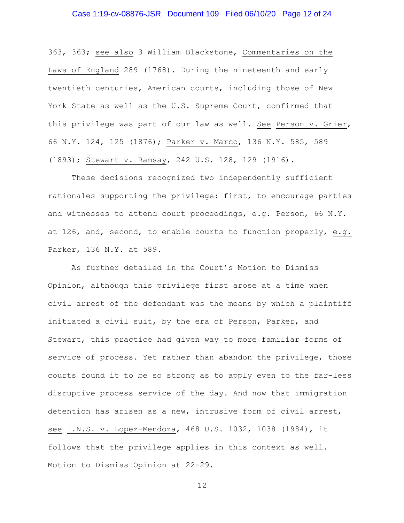### Case 1:19-cv-08876-JSR Document 109 Filed 06/10/20 Page 12 of 24

363, 363; see also 3 William Blackstone, Commentaries on the Laws of England 289 (1768). During the nineteenth and early twentieth centuries, American courts, including those of New York State as well as the U.S. Supreme Court, confirmed that this privilege was part of our law as well. See Person v. Grier, 66 N.Y. 124, 125 (1876); Parker v. Marco, 136 N.Y. 585, 589 (1893); Stewart v. Ramsay, 242 U.S. 128, 129 (1916).

These decisions recognized two independently sufficient rationales supporting the privilege: first, to encourage parties and witnesses to attend court proceedings, e.g. Person, 66 N.Y. at 126, and, second, to enable courts to function properly, e.g. Parker, 136 N.Y. at 589.

As further detailed in the Court's Motion to Dismiss Opinion, although this privilege first arose at a time when civil arrest of the defendant was the means by which a plaintiff initiated a civil suit, by the era of Person, Parker, and Stewart, this practice had given way to more familiar forms of service of process. Yet rather than abandon the privilege, those courts found it to be so strong as to apply even to the far-less disruptive process service of the day. And now that immigration detention has arisen as a new, intrusive form of civil arrest, see I.N.S. v. Lopez-Mendoza, 468 U.S. 1032, 1038 (1984), it follows that the privilege applies in this context as well. Motion to Dismiss Opinion at 22-29.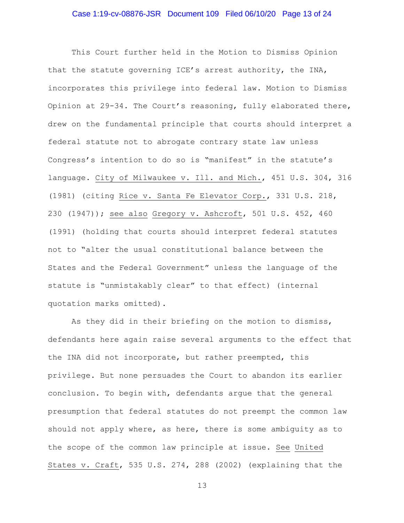### Case 1:19-cv-08876-JSR Document 109 Filed 06/10/20 Page 13 of 24

This Court further held in the Motion to Dismiss Opinion that the statute governing ICE's arrest authority, the INA, incorporates this privilege into federal law. Motion to Dismiss Opinion at 29-34. The Court's reasoning, fully elaborated there, drew on the fundamental principle that courts should interpret a federal statute not to abrogate contrary state law unless Congress's intention to do so is "manifest" in the statute's language. City of Milwaukee v. Ill. and Mich., 451 U.S. 304, 316 (1981) (citing Rice v. Santa Fe Elevator Corp., 331 U.S. 218, 230 (1947)); see also Gregory v. Ashcroft, 501 U.S. 452, 460 (1991) (holding that courts should interpret federal statutes not to "alter the usual constitutional balance between the States and the Federal Government" unless the language of the statute is "unmistakably clear" to that effect) (internal quotation marks omitted).

As they did in their briefing on the motion to dismiss, defendants here again raise several arguments to the effect that the INA did not incorporate, but rather preempted, this privilege. But none persuades the Court to abandon its earlier conclusion. To begin with, defendants argue that the general presumption that federal statutes do not preempt the common law should not apply where, as here, there is some ambiguity as to the scope of the common law principle at issue. See United States v. Craft, 535 U.S. 274, 288 (2002) (explaining that the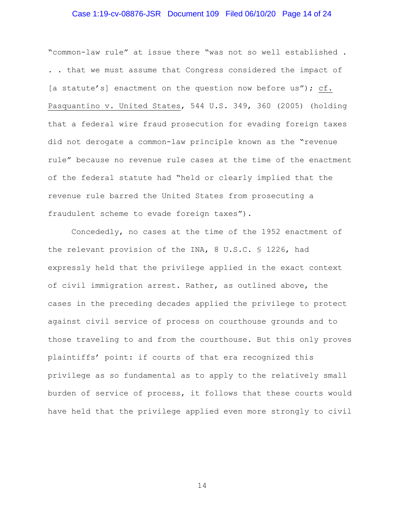### Case 1:19-cv-08876-JSR Document 109 Filed 06/10/20 Page 14 of 24

"common-law rule" at issue there "was not so well established . . . that we must assume that Congress considered the impact of [a statute's] enactment on the question now before us"); cf. Pasquantino v. United States, 544 U.S. 349, 360 (2005) (holding that a federal wire fraud prosecution for evading foreign taxes did not derogate a common-law principle known as the "revenue rule" because no revenue rule cases at the time of the enactment of the federal statute had "held or clearly implied that the revenue rule barred the United States from prosecuting a fraudulent scheme to evade foreign taxes").

Concededly, no cases at the time of the 1952 enactment of the relevant provision of the INA, 8 U.S.C. § 1226, had expressly held that the privilege applied in the exact context of civil immigration arrest. Rather, as outlined above, the cases in the preceding decades applied the privilege to protect against civil service of process on courthouse grounds and to those traveling to and from the courthouse. But this only proves plaintiffs' point: if courts of that era recognized this privilege as so fundamental as to apply to the relatively small burden of service of process, it follows that these courts would have held that the privilege applied even more strongly to civil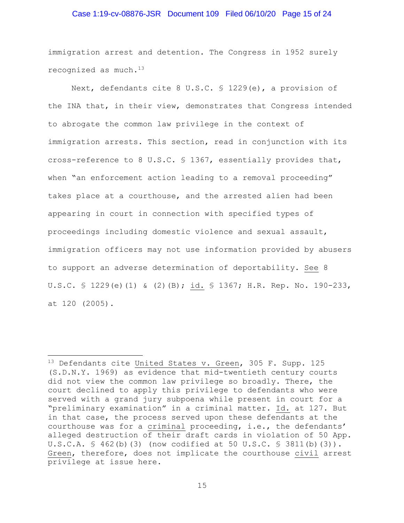### Case 1:19-cv-08876-JSR Document 109 Filed 06/10/20 Page 15 of 24

immigration arrest and detention. The Congress in 1952 surely recognized as much.13

Next, defendants cite 8 U.S.C. § 1229(e), a provision of the INA that, in their view, demonstrates that Congress intended to abrogate the common law privilege in the context of immigration arrests. This section, read in conjunction with its cross-reference to 8 U.S.C. § 1367, essentially provides that, when "an enforcement action leading to a removal proceeding" takes place at a courthouse, and the arrested alien had been appearing in court in connection with specified types of proceedings including domestic violence and sexual assault, immigration officers may not use information provided by abusers to support an adverse determination of deportability. See 8 U.S.C. § 1229(e)(1) & (2)(B); id. § 1367; H.R. Rep. No. 190-233, at 120 (2005).

<sup>&</sup>lt;sup>13</sup> Defendants cite United States v. Green, 305 F. Supp. 125 (S.D.N.Y. 1969) as evidence that mid-twentieth century courts did not view the common law privilege so broadly. There, the court declined to apply this privilege to defendants who were served with a grand jury subpoena while present in court for a "preliminary examination" in a criminal matter. Id. at 127. But in that case, the process served upon these defendants at the courthouse was for a criminal proceeding, i.e., the defendants' alleged destruction of their draft cards in violation of 50 App. U.S.C.A.  $\frac{6}{5}$  462(b)(3) (now codified at 50 U.S.C.  $\frac{6}{5}$  3811(b)(3)). Green, therefore, does not implicate the courthouse civil arrest privilege at issue here.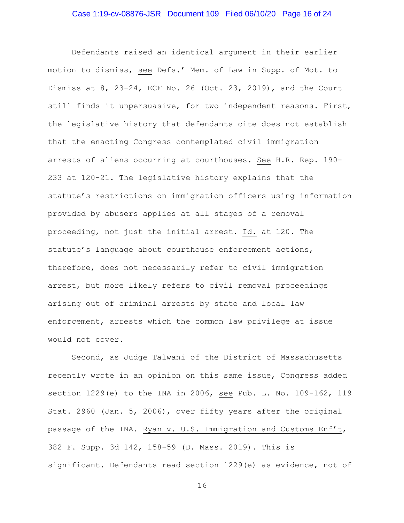Defendants raised an identical argument in their earlier motion to dismiss, see Defs.' Mem. of Law in Supp. of Mot. to Dismiss at 8, 23-24, ECF No. 26 (Oct. 23, 2019), and the Court still finds it unpersuasive, for two independent reasons. First, the legislative history that defendants cite does not establish that the enacting Congress contemplated civil immigration arrests of aliens occurring at courthouses. See H.R. Rep. 190- 233 at 120-21. The legislative history explains that the statute's restrictions on immigration officers using information provided by abusers applies at all stages of a removal proceeding, not just the initial arrest. Id. at 120. The statute's language about courthouse enforcement actions, therefore, does not necessarily refer to civil immigration arrest, but more likely refers to civil removal proceedings arising out of criminal arrests by state and local law enforcement, arrests which the common law privilege at issue would not cover.

Second, as Judge Talwani of the District of Massachusetts recently wrote in an opinion on this same issue, Congress added section 1229(e) to the INA in 2006, see Pub. L. No. 109-162, 119 Stat. 2960 (Jan. 5, 2006), over fifty years after the original passage of the INA. Ryan v. U.S. Immigration and Customs Enf't, 382 F. Supp. 3d 142, 158-59 (D. Mass. 2019). This is significant. Defendants read section 1229(e) as evidence, not of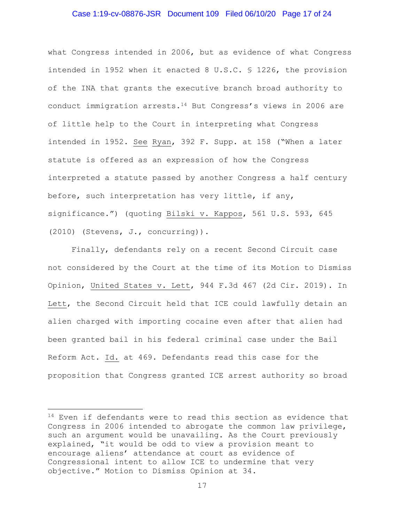### Case 1:19-cv-08876-JSR Document 109 Filed 06/10/20 Page 17 of 24

what Congress intended in 2006, but as evidence of what Congress intended in 1952 when it enacted 8 U.S.C. § 1226, the provision of the INA that grants the executive branch broad authority to conduct immigration arrests. $14$  But Congress's views in 2006 are of little help to the Court in interpreting what Congress intended in 1952. See Ryan, 392 F. Supp. at 158 ("When a later statute is offered as an expression of how the Congress interpreted a statute passed by another Congress a half century before, such interpretation has very little, if any, significance.") (quoting Bilski v. Kappos, 561 U.S. 593, 645 (2010) (Stevens, J., concurring)).

Finally, defendants rely on a recent Second Circuit case not considered by the Court at the time of its Motion to Dismiss Opinion, United States v. Lett, 944 F.3d 467 (2d Cir. 2019). In Lett, the Second Circuit held that ICE could lawfully detain an alien charged with importing cocaine even after that alien had been granted bail in his federal criminal case under the Bail Reform Act. Id. at 469. Defendants read this case for the proposition that Congress granted ICE arrest authority so broad

 $14$  Even if defendants were to read this section as evidence that Congress in 2006 intended to abrogate the common law privilege, such an argument would be unavailing. As the Court previously explained, "it would be odd to view a provision meant to encourage aliens' attendance at court as evidence of Congressional intent to allow ICE to undermine that very objective." Motion to Dismiss Opinion at 34.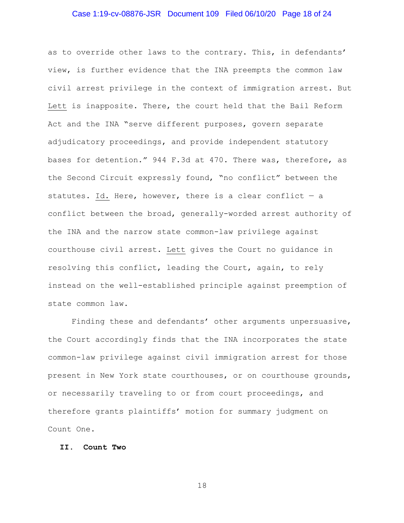### Case 1:19-cv-08876-JSR Document 109 Filed 06/10/20 Page 18 of 24

as to override other laws to the contrary. This, in defendants' view, is further evidence that the INA preempts the common law civil arrest privilege in the context of immigration arrest. But Lett is inapposite. There, the court held that the Bail Reform Act and the INA "serve different purposes, govern separate adjudicatory proceedings, and provide independent statutory bases for detention." 944 F.3d at 470. There was, therefore, as the Second Circuit expressly found, "no conflict" between the statutes. Id. Here, however, there is a clear conflict  $-$  a conflict between the broad, generally-worded arrest authority of the INA and the narrow state common-law privilege against courthouse civil arrest. Lett gives the Court no guidance in resolving this conflict, leading the Court, again, to rely instead on the well-established principle against preemption of state common law.

Finding these and defendants' other arguments unpersuasive, the Court accordingly finds that the INA incorporates the state common-law privilege against civil immigration arrest for those present in New York state courthouses, or on courthouse grounds, or necessarily traveling to or from court proceedings, and therefore grants plaintiffs' motion for summary judgment on Count One.

### **II. Count Two**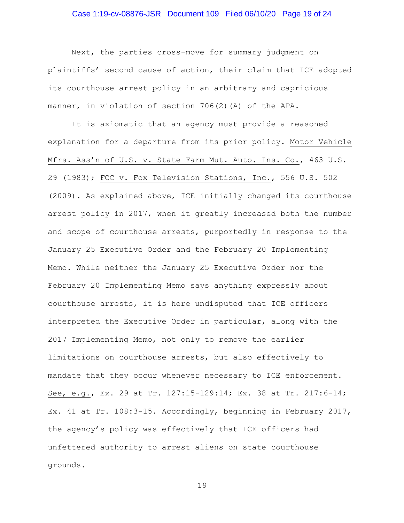### Case 1:19-cv-08876-JSR Document 109 Filed 06/10/20 Page 19 of 24

Next, the parties cross-move for summary judgment on plaintiffs' second cause of action, their claim that ICE adopted its courthouse arrest policy in an arbitrary and capricious manner, in violation of section 706(2)(A) of the APA.

It is axiomatic that an agency must provide a reasoned explanation for a departure from its prior policy. Motor Vehicle Mfrs. Ass'n of U.S. v. State Farm Mut. Auto. Ins. Co., 463 U.S. 29 (1983); FCC v. Fox Television Stations, Inc., 556 U.S. 502 (2009). As explained above, ICE initially changed its courthouse arrest policy in 2017, when it greatly increased both the number and scope of courthouse arrests, purportedly in response to the January 25 Executive Order and the February 20 Implementing Memo. While neither the January 25 Executive Order nor the February 20 Implementing Memo says anything expressly about courthouse arrests, it is here undisputed that ICE officers interpreted the Executive Order in particular, along with the 2017 Implementing Memo, not only to remove the earlier limitations on courthouse arrests, but also effectively to mandate that they occur whenever necessary to ICE enforcement. See, e.g., Ex. 29 at Tr. 127:15-129:14; Ex. 38 at Tr. 217:6-14; Ex. 41 at Tr. 108:3-15. Accordingly, beginning in February 2017, the agency's policy was effectively that ICE officers had unfettered authority to arrest aliens on state courthouse grounds.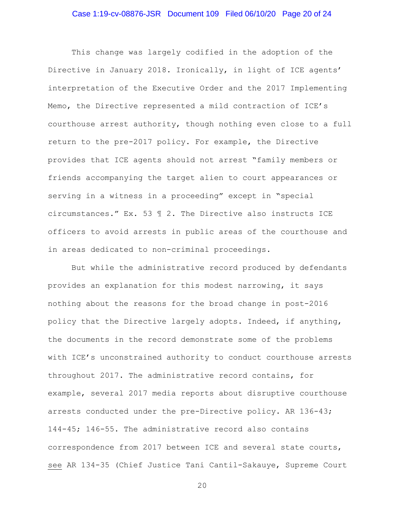### Case 1:19-cv-08876-JSR Document 109 Filed 06/10/20 Page 20 of 24

This change was largely codified in the adoption of the Directive in January 2018. Ironically, in light of ICE agents' interpretation of the Executive Order and the 2017 Implementing Memo, the Directive represented a mild contraction of ICE's courthouse arrest authority, though nothing even close to a full return to the pre-2017 policy. For example, the Directive provides that ICE agents should not arrest "family members or friends accompanying the target alien to court appearances or serving in a witness in a proceeding" except in "special circumstances." Ex. 53 ¶ 2. The Directive also instructs ICE officers to avoid arrests in public areas of the courthouse and in areas dedicated to non-criminal proceedings.

But while the administrative record produced by defendants provides an explanation for this modest narrowing, it says nothing about the reasons for the broad change in post-2016 policy that the Directive largely adopts. Indeed, if anything, the documents in the record demonstrate some of the problems with ICE's unconstrained authority to conduct courthouse arrests throughout 2017. The administrative record contains, for example, several 2017 media reports about disruptive courthouse arrests conducted under the pre-Directive policy. AR 136-43; 144-45; 146-55. The administrative record also contains correspondence from 2017 between ICE and several state courts, see AR 134-35 (Chief Justice Tani Cantil-Sakauye, Supreme Court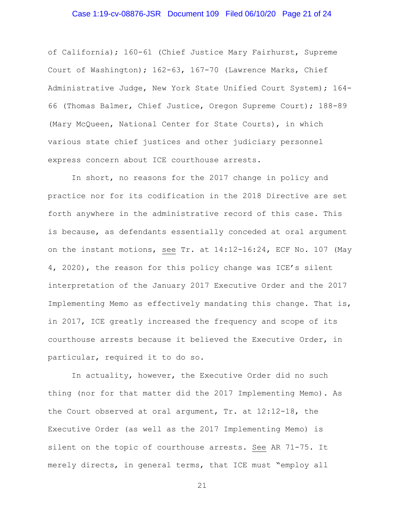### Case 1:19-cv-08876-JSR Document 109 Filed 06/10/20 Page 21 of 24

of California); 160-61 (Chief Justice Mary Fairhurst, Supreme Court of Washington); 162-63, 167-70 (Lawrence Marks, Chief Administrative Judge, New York State Unified Court System); 164- 66 (Thomas Balmer, Chief Justice, Oregon Supreme Court); 188-89 (Mary McQueen, National Center for State Courts), in which various state chief justices and other judiciary personnel express concern about ICE courthouse arrests.

In short, no reasons for the 2017 change in policy and practice nor for its codification in the 2018 Directive are set forth anywhere in the administrative record of this case. This is because, as defendants essentially conceded at oral argument on the instant motions, see Tr. at 14:12-16:24, ECF No. 107 (May 4, 2020), the reason for this policy change was ICE's silent interpretation of the January 2017 Executive Order and the 2017 Implementing Memo as effectively mandating this change. That is, in 2017, ICE greatly increased the frequency and scope of its courthouse arrests because it believed the Executive Order, in particular, required it to do so.

In actuality, however, the Executive Order did no such thing (nor for that matter did the 2017 Implementing Memo). As the Court observed at oral argument, Tr. at 12:12-18, the Executive Order (as well as the 2017 Implementing Memo) is silent on the topic of courthouse arrests. See AR 71-75. It merely directs, in general terms, that ICE must "employ all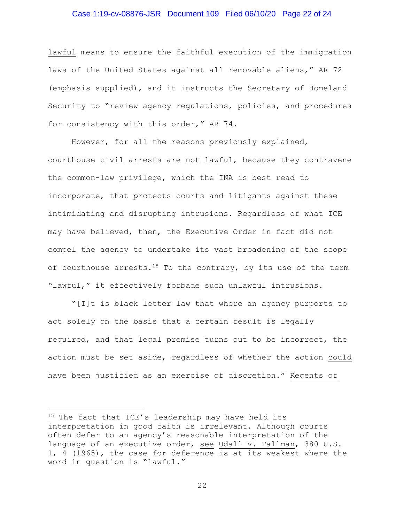### Case 1:19-cv-08876-JSR Document 109 Filed 06/10/20 Page 22 of 24

lawful means to ensure the faithful execution of the immigration laws of the United States against all removable aliens," AR 72 (emphasis supplied), and it instructs the Secretary of Homeland Security to "review agency regulations, policies, and procedures for consistency with this order," AR 74.

However, for all the reasons previously explained, courthouse civil arrests are not lawful, because they contravene the common-law privilege, which the INA is best read to incorporate, that protects courts and litigants against these intimidating and disrupting intrusions. Regardless of what ICE may have believed, then, the Executive Order in fact did not compel the agency to undertake its vast broadening of the scope of courthouse arrests.<sup>15</sup> To the contrary, by its use of the term "lawful," it effectively forbade such unlawful intrusions.

"[I]t is black letter law that where an agency purports to act solely on the basis that a certain result is legally required, and that legal premise turns out to be incorrect, the action must be set aside, regardless of whether the action could have been justified as an exercise of discretion." Regents of

 $15$  The fact that ICE's leadership may have held its interpretation in good faith is irrelevant. Although courts often defer to an agency's reasonable interpretation of the language of an executive order, see Udall v. Tallman, 380 U.S. 1, 4 (1965), the case for deference is at its weakest where the word in question is "lawful."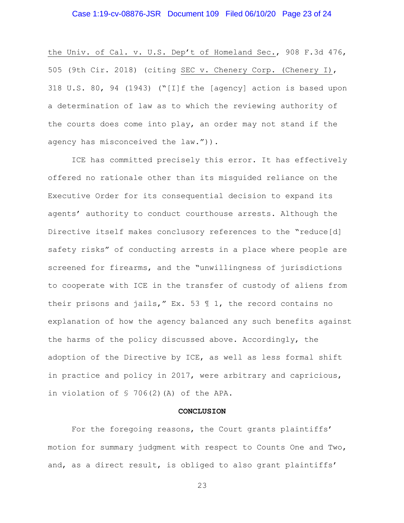### Case 1:19-cv-08876-JSR Document 109 Filed 06/10/20 Page 23 of 24

the Univ. of Cal. v. U.S. Dep't of Homeland Sec., 908 F.3d 476, 505 (9th Cir. 2018) (citing SEC v. Chenery Corp. (Chenery I), 318 U.S. 80, 94 (1943) ("[I]f the [agency] action is based upon a determination of law as to which the reviewing authority of the courts does come into play, an order may not stand if the agency has misconceived the law.")).

ICE has committed precisely this error. It has effectively offered no rationale other than its misguided reliance on the Executive Order for its consequential decision to expand its agents' authority to conduct courthouse arrests. Although the Directive itself makes conclusory references to the "reduce[d] safety risks" of conducting arrests in a place where people are screened for firearms, and the "unwillingness of jurisdictions to cooperate with ICE in the transfer of custody of aliens from their prisons and jails," Ex. 53 ¶ 1, the record contains no explanation of how the agency balanced any such benefits against the harms of the policy discussed above. Accordingly, the adoption of the Directive by ICE, as well as less formal shift in practice and policy in 2017, were arbitrary and capricious, in violation of § 706(2)(A) of the APA.

#### **CONCLUSION**

For the foregoing reasons, the Court grants plaintiffs' motion for summary judgment with respect to Counts One and Two, and, as a direct result, is obliged to also grant plaintiffs'